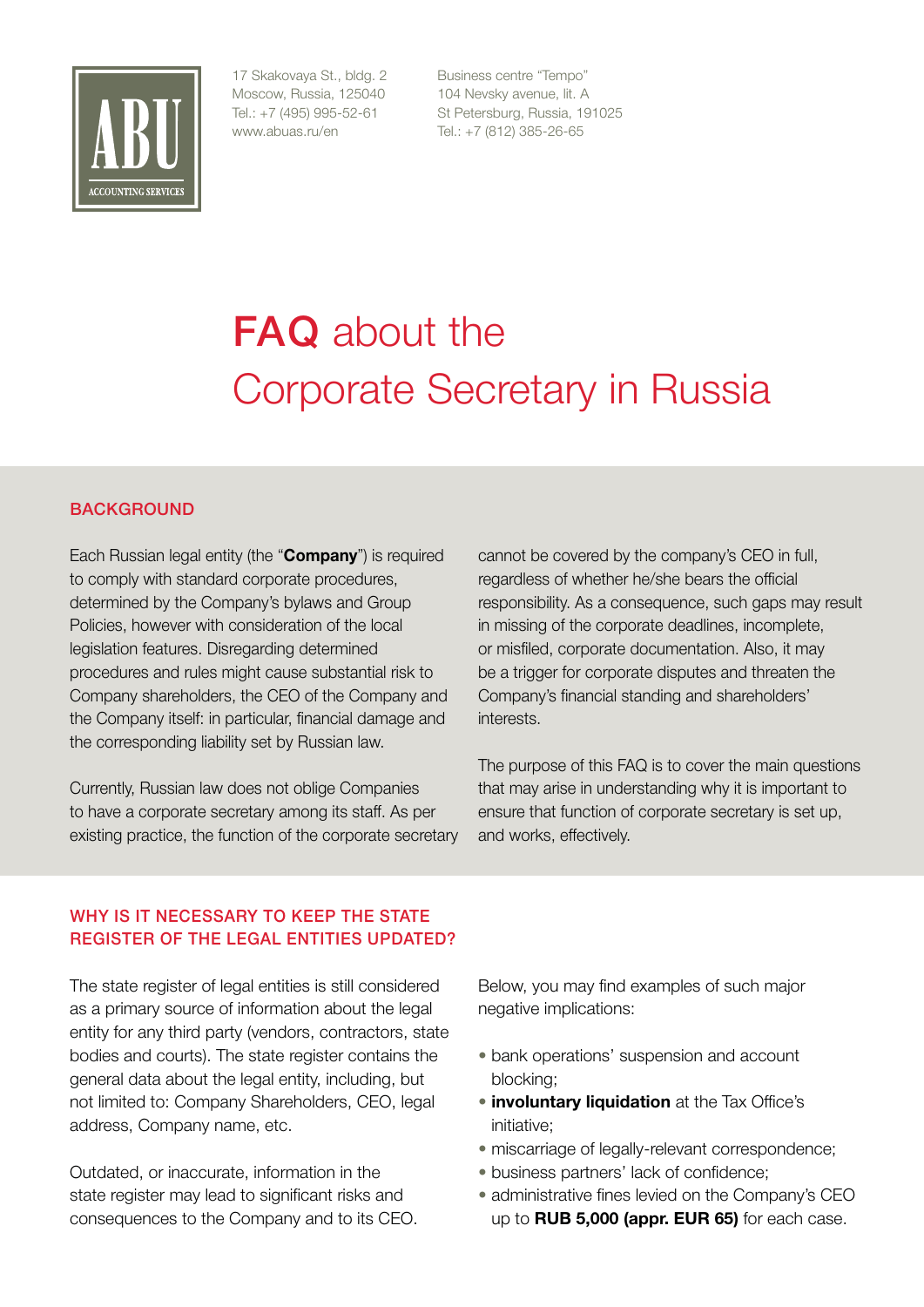

17 Skakovaya St., bldg. 2 Moscow, Russia, 125040 Tel.: +7 (495) 995-52-61 www.abuas.ru/en

Business centre "Tempo" 104 Nevsky avenue, lit. A St Petersburg, Russia, 191025 Tel.: +7 (812) 385-26-65

# **FAQ** about the Corporate Secretary in Russia

# BACKGROUND

Each Russian legal entity (the "**Company**") is required to comply with standard corporate procedures, determined by the Company's bylaws and Group Policies, however with consideration of the local legislation features. Disregarding determined procedures and rules might cause substantial risk to Company shareholders, the CEO of the Company and the Company itself: in particular, financial damage and the corresponding liability set by Russian law.

Currently, Russian law does not oblige Companies to have a corporate secretary among its staff. As per existing practice, the function of the corporate secretary cannot be covered by the company's CEO in full, regardless of whether he/she bears the official responsibility. As a consequence, such gaps may result in missing of the corporate deadlines, incomplete, or misfiled, corporate documentation. Also, it may be a trigger for corporate disputes and threaten the Company's financial standing and shareholders' interests.

The purpose of this FAQ is to cover the main questions that may arise in understanding why it is important to ensure that function of corporate secretary is set up, and works, effectively.

# WHY IS IT NECESSARY TO KEEP THE STATE REGISTER OF THE LEGAL ENTITIES UPDATED?

The state register of legal entities is still considered as a primary source of information about the legal entity for any third party (vendors, contractors, state bodies and courts). The state register contains the general data about the legal entity, including, but not limited to: Company Shareholders, CEO, legal address, Company name, etc.

Outdated, or inaccurate, information in the state register may lead to significant risks and consequences to the Company and to its CEO. Below, you may find examples of such major negative implications:

- bank operations' suspension and account blocking;
- **involuntary liquidation** at the Tax Office's initiative;
- miscarriage of legally-relevant correspondence;
- business partners' lack of confidence;
- administrative fines levied on the Company's CEO up to **RUB 5,000 (appr. EUR 65)** for each case.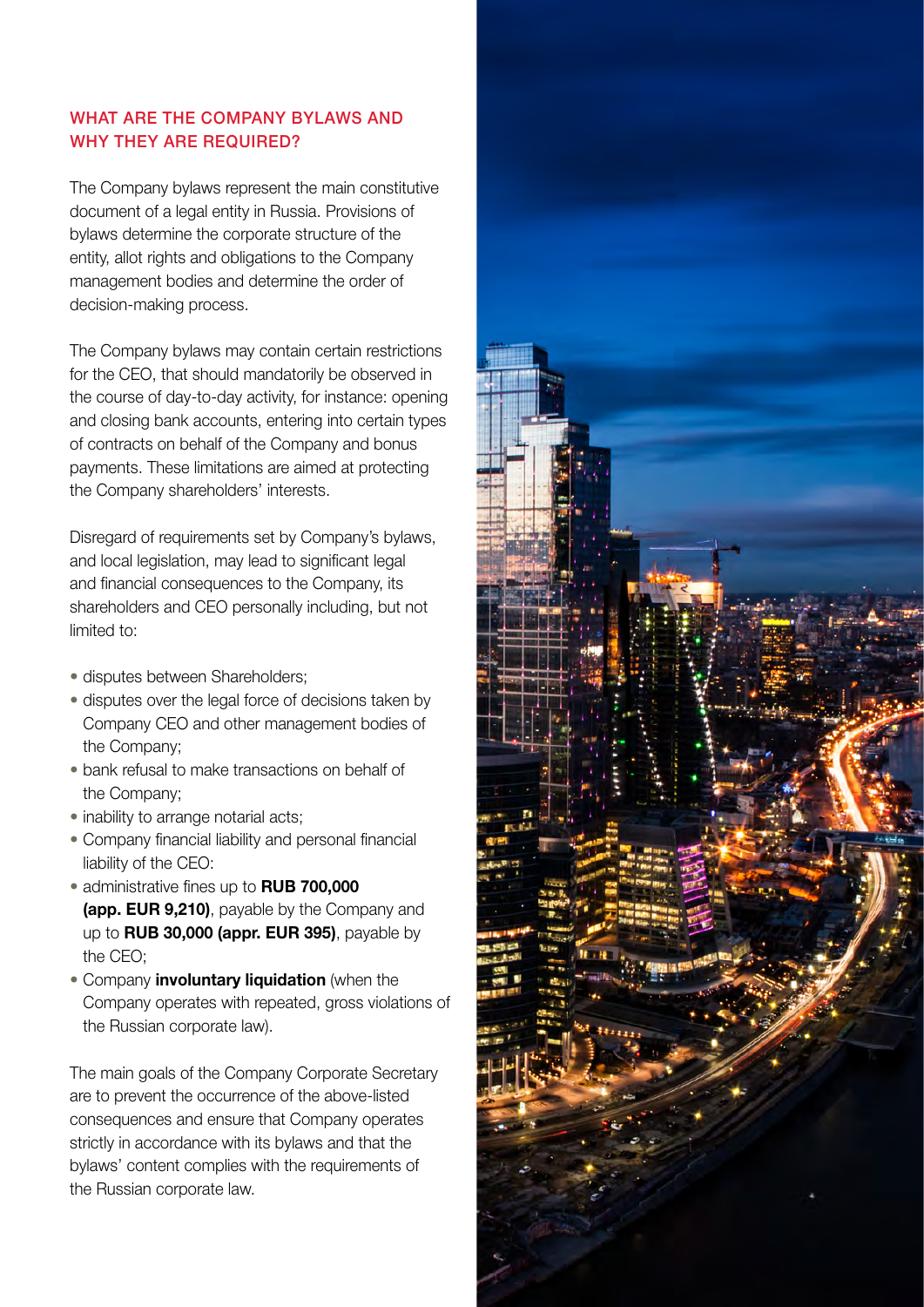#### WHAT ARE THE COMPANY BYLAWS AND WHY THEY ARE REQUIRED?

The Company bylaws represent the main constitutive document of a legal entity in Russia. Provisions of bylaws determine the corporate structure of the entity, allot rights and obligations to the Company management bodies and determine the order of decision-making process.

The Company bylaws may contain certain restrictions for the CEO, that should mandatorily be observed in the course of day-to-day activity, for instance: opening and closing bank accounts, entering into certain types of contracts on behalf of the Company and bonus payments. These limitations are aimed at protecting the Company shareholders' interests.

Disregard of requirements set by Company's bylaws, and local legislation, may lead to significant legal and financial consequences to the Company, its shareholders and CEO personally including, but not limited to:

- disputes between Shareholders;
- disputes over the legal force of decisions taken by Company CEO and other management bodies of the Company;
- bank refusal to make transactions on behalf of the Company;
- inability to arrange notarial acts;
- Company financial liability and personal financial liability of the CEO:
- administrative fines up to **RUB 700,000 (app. EUR 9,210)**, payable by the Company and up to **RUB 30,000 (appr. EUR 395)**, payable by the CEO;
- Company **involuntary liquidation** (when the Company operates with repeated, gross violations of the Russian corporate law).

The main goals of the Company Corporate Secretary are to prevent the occurrence of the above-listed consequences and ensure that Company operates strictly in accordance with its bylaws and that the bylaws' content complies with the requirements of the Russian corporate law.